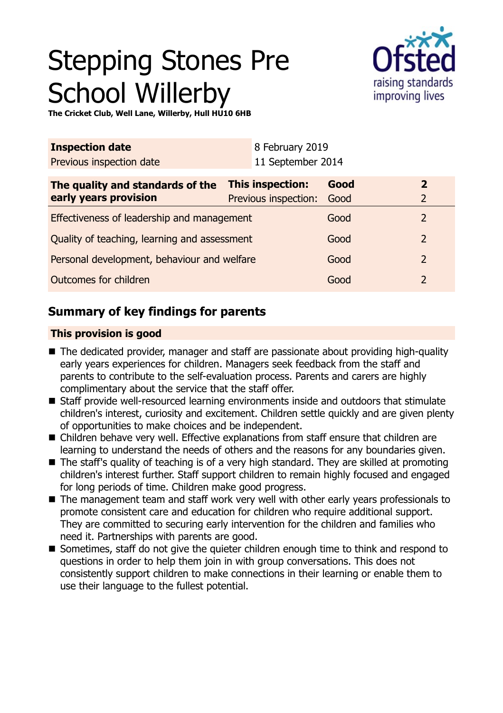# Stepping Stones Pre School Willerby



**The Cricket Club, Well Lane, Willerby, Hull HU10 6HB**

| <b>Inspection date</b>                       |                  | 8 February 2019      |      |  |                |
|----------------------------------------------|------------------|----------------------|------|--|----------------|
| Previous inspection date                     |                  | 11 September 2014    |      |  |                |
| The quality and standards of the             | This inspection: |                      | Good |  | $\overline{2}$ |
| early years provision                        |                  | Previous inspection: | Good |  | $\overline{2}$ |
| Effectiveness of leadership and management   |                  |                      | Good |  | 2              |
| Quality of teaching, learning and assessment |                  |                      | Good |  | $\overline{2}$ |
| Personal development, behaviour and welfare  |                  |                      | Good |  | $\overline{2}$ |
| Outcomes for children                        |                  |                      | Good |  | $\overline{2}$ |

## **Summary of key findings for parents**

## **This provision is good**

- The dedicated provider, manager and staff are passionate about providing high-quality early years experiences for children. Managers seek feedback from the staff and parents to contribute to the self-evaluation process. Parents and carers are highly complimentary about the service that the staff offer.
- Staff provide well-resourced learning environments inside and outdoors that stimulate children's interest, curiosity and excitement. Children settle quickly and are given plenty of opportunities to make choices and be independent.
- Children behave very well. Effective explanations from staff ensure that children are learning to understand the needs of others and the reasons for any boundaries given.
- $\blacksquare$  The staff's quality of teaching is of a very high standard. They are skilled at promoting children's interest further. Staff support children to remain highly focused and engaged for long periods of time. Children make good progress.
- $\blacksquare$  The management team and staff work very well with other early years professionals to promote consistent care and education for children who require additional support. They are committed to securing early intervention for the children and families who need it. Partnerships with parents are good.
- Sometimes, staff do not give the quieter children enough time to think and respond to questions in order to help them join in with group conversations. This does not consistently support children to make connections in their learning or enable them to use their language to the fullest potential.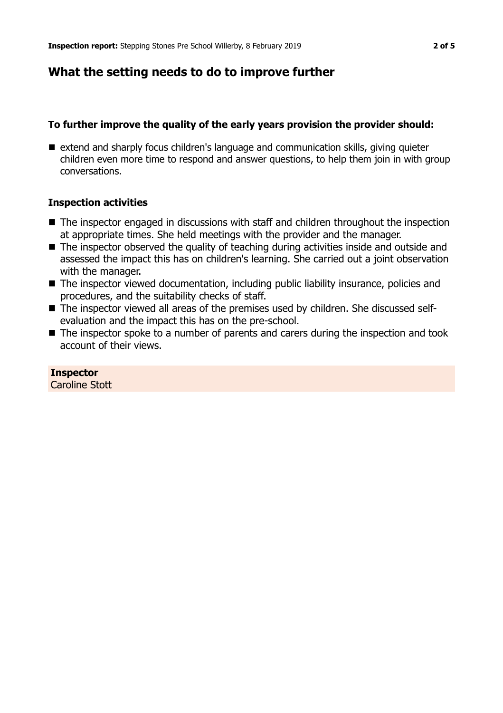## **What the setting needs to do to improve further**

## **To further improve the quality of the early years provision the provider should:**

■ extend and sharply focus children's language and communication skills, giving quieter children even more time to respond and answer questions, to help them join in with group conversations.

## **Inspection activities**

- $\blacksquare$  The inspector engaged in discussions with staff and children throughout the inspection at appropriate times. She held meetings with the provider and the manager.
- The inspector observed the quality of teaching during activities inside and outside and assessed the impact this has on children's learning. She carried out a joint observation with the manager.
- The inspector viewed documentation, including public liability insurance, policies and procedures, and the suitability checks of staff.
- The inspector viewed all areas of the premises used by children. She discussed selfevaluation and the impact this has on the pre-school.
- $\blacksquare$  The inspector spoke to a number of parents and carers during the inspection and took account of their views.

#### **Inspector** Caroline Stott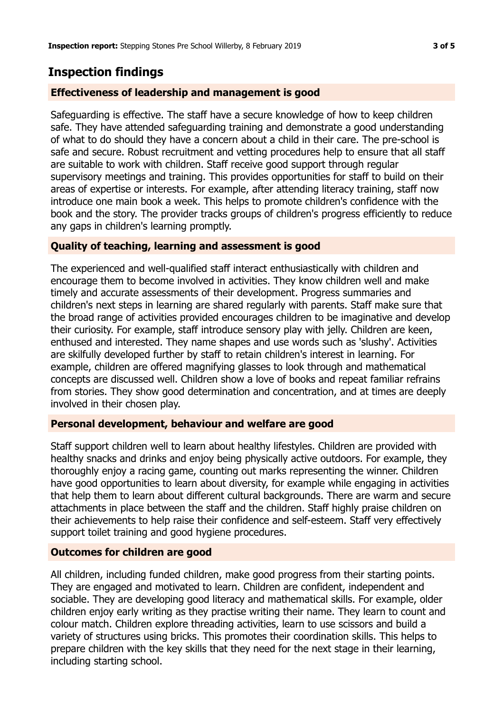## **Inspection findings**

## **Effectiveness of leadership and management is good**

Safeguarding is effective. The staff have a secure knowledge of how to keep children safe. They have attended safeguarding training and demonstrate a good understanding of what to do should they have a concern about a child in their care. The pre-school is safe and secure. Robust recruitment and vetting procedures help to ensure that all staff are suitable to work with children. Staff receive good support through regular supervisory meetings and training. This provides opportunities for staff to build on their areas of expertise or interests. For example, after attending literacy training, staff now introduce one main book a week. This helps to promote children's confidence with the book and the story. The provider tracks groups of children's progress efficiently to reduce any gaps in children's learning promptly.

## **Quality of teaching, learning and assessment is good**

The experienced and well-qualified staff interact enthusiastically with children and encourage them to become involved in activities. They know children well and make timely and accurate assessments of their development. Progress summaries and children's next steps in learning are shared regularly with parents. Staff make sure that the broad range of activities provided encourages children to be imaginative and develop their curiosity. For example, staff introduce sensory play with jelly. Children are keen, enthused and interested. They name shapes and use words such as 'slushy'. Activities are skilfully developed further by staff to retain children's interest in learning. For example, children are offered magnifying glasses to look through and mathematical concepts are discussed well. Children show a love of books and repeat familiar refrains from stories. They show good determination and concentration, and at times are deeply involved in their chosen play.

#### **Personal development, behaviour and welfare are good**

Staff support children well to learn about healthy lifestyles. Children are provided with healthy snacks and drinks and enjoy being physically active outdoors. For example, they thoroughly enjoy a racing game, counting out marks representing the winner. Children have good opportunities to learn about diversity, for example while engaging in activities that help them to learn about different cultural backgrounds. There are warm and secure attachments in place between the staff and the children. Staff highly praise children on their achievements to help raise their confidence and self-esteem. Staff very effectively support toilet training and good hygiene procedures.

#### **Outcomes for children are good**

All children, including funded children, make good progress from their starting points. They are engaged and motivated to learn. Children are confident, independent and sociable. They are developing good literacy and mathematical skills. For example, older children enjoy early writing as they practise writing their name. They learn to count and colour match. Children explore threading activities, learn to use scissors and build a variety of structures using bricks. This promotes their coordination skills. This helps to prepare children with the key skills that they need for the next stage in their learning, including starting school.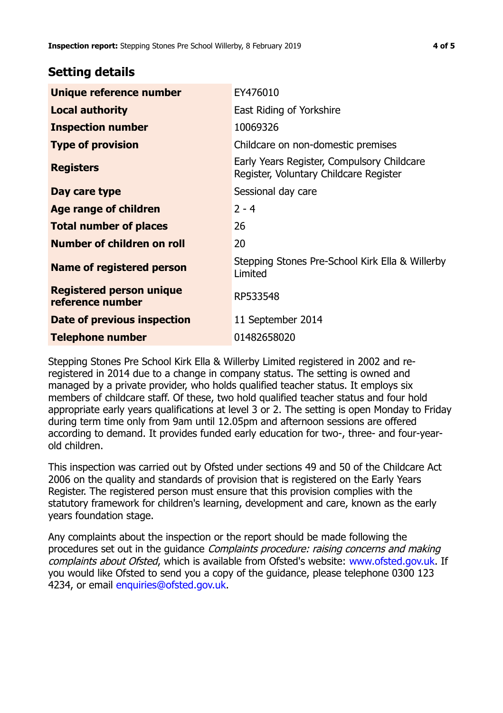## **Setting details**

| Unique reference number                             | EY476010                                                                             |  |
|-----------------------------------------------------|--------------------------------------------------------------------------------------|--|
| <b>Local authority</b>                              | East Riding of Yorkshire                                                             |  |
| <b>Inspection number</b>                            | 10069326                                                                             |  |
| <b>Type of provision</b>                            | Childcare on non-domestic premises                                                   |  |
| <b>Registers</b>                                    | Early Years Register, Compulsory Childcare<br>Register, Voluntary Childcare Register |  |
| Day care type                                       | Sessional day care                                                                   |  |
| Age range of children                               | $2 - 4$                                                                              |  |
| <b>Total number of places</b>                       | 26                                                                                   |  |
| Number of children on roll                          | 20                                                                                   |  |
| Name of registered person                           | Stepping Stones Pre-School Kirk Ella & Willerby<br>Limited                           |  |
| <b>Registered person unique</b><br>reference number | RP533548                                                                             |  |
| Date of previous inspection                         | 11 September 2014                                                                    |  |
| <b>Telephone number</b>                             | 01482658020                                                                          |  |

Stepping Stones Pre School Kirk Ella & Willerby Limited registered in 2002 and reregistered in 2014 due to a change in company status. The setting is owned and managed by a private provider, who holds qualified teacher status. It employs six members of childcare staff. Of these, two hold qualified teacher status and four hold appropriate early years qualifications at level 3 or 2. The setting is open Monday to Friday during term time only from 9am until 12.05pm and afternoon sessions are offered according to demand. It provides funded early education for two-, three- and four-yearold children.

This inspection was carried out by Ofsted under sections 49 and 50 of the Childcare Act 2006 on the quality and standards of provision that is registered on the Early Years Register. The registered person must ensure that this provision complies with the statutory framework for children's learning, development and care, known as the early years foundation stage.

Any complaints about the inspection or the report should be made following the procedures set out in the guidance *Complaints procedure: raising concerns and making* complaints about Ofsted, which is available from Ofsted's website: www.ofsted.gov.uk. If you would like Ofsted to send you a copy of the guidance, please telephone 0300 123 4234, or email [enquiries@ofsted.gov.uk.](mailto:enquiries@ofsted.gov.uk)